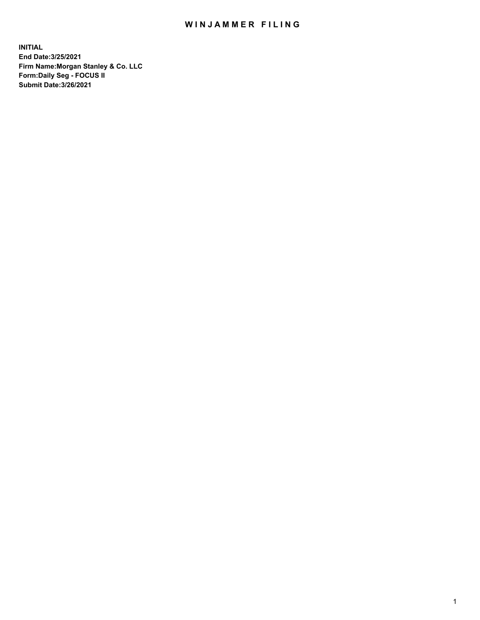## WIN JAMMER FILING

**INITIAL End Date:3/25/2021 Firm Name:Morgan Stanley & Co. LLC Form:Daily Seg - FOCUS II Submit Date:3/26/2021**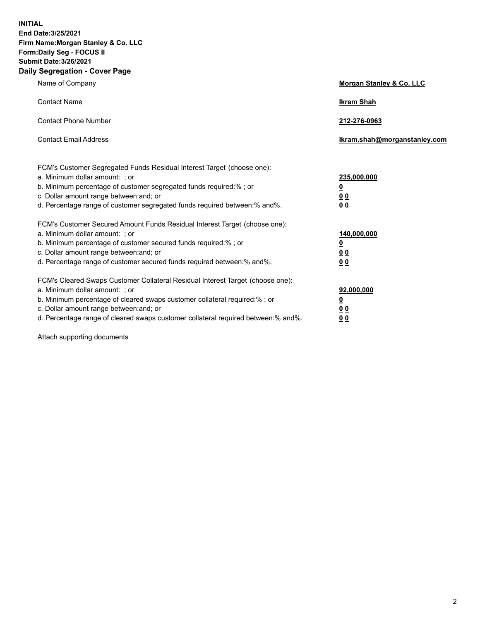**INITIAL End Date:3/25/2021 Firm Name:Morgan Stanley & Co. LLC Form:Daily Seg - FOCUS II Submit Date:3/26/2021 Daily Segregation - Cover Page**

| Name of Company                                                                                                                                                                                                                                                                                                                | <b>Morgan Stanley &amp; Co. LLC</b>                         |
|--------------------------------------------------------------------------------------------------------------------------------------------------------------------------------------------------------------------------------------------------------------------------------------------------------------------------------|-------------------------------------------------------------|
| <b>Contact Name</b>                                                                                                                                                                                                                                                                                                            | <b>Ikram Shah</b>                                           |
| <b>Contact Phone Number</b>                                                                                                                                                                                                                                                                                                    | 212-276-0963                                                |
| <b>Contact Email Address</b>                                                                                                                                                                                                                                                                                                   | Ikram.shah@morganstanley.com                                |
| FCM's Customer Segregated Funds Residual Interest Target (choose one):<br>a. Minimum dollar amount: ; or<br>b. Minimum percentage of customer segregated funds required:%; or<br>c. Dollar amount range between: and; or<br>d. Percentage range of customer segregated funds required between:% and%.                          | 235,000,000<br><u>0</u><br>0 <sub>0</sub><br>0 <sub>0</sub> |
| FCM's Customer Secured Amount Funds Residual Interest Target (choose one):<br>a. Minimum dollar amount: ; or<br>b. Minimum percentage of customer secured funds required:% ; or<br>c. Dollar amount range between: and; or<br>d. Percentage range of customer secured funds required between:% and%.                           | 140,000,000<br><u>0</u><br>0 <sub>0</sub><br>0 <sub>0</sub> |
| FCM's Cleared Swaps Customer Collateral Residual Interest Target (choose one):<br>a. Minimum dollar amount: ; or<br>b. Minimum percentage of cleared swaps customer collateral required:% ; or<br>c. Dollar amount range between: and; or<br>d. Percentage range of cleared swaps customer collateral required between:% and%. | 92,000,000<br><u>0</u><br><u>00</u><br>0 <sub>0</sub>       |

Attach supporting documents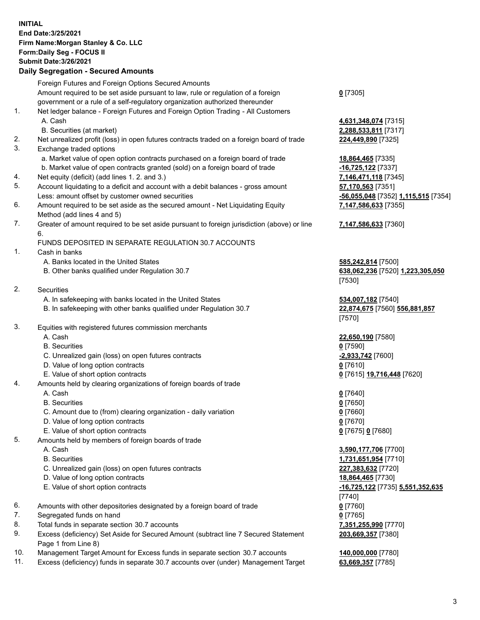## **INITIAL End Date:3/25/2021 Firm Name:Morgan Stanley & Co. LLC Form:Daily Seg - FOCUS II Submit Date:3/26/2021**

## **Daily Segregation - Secured Amounts**

Foreign Futures and Foreign Options Secured Amounts Amount required to be set aside pursuant to law, rule or regulation of a foreign government or a rule of a self-regulatory organization authorized thereunder 1. Net ledger balance - Foreign Futures and Foreign Option Trading - All Customers A. Cash **4,631,348,074** [7315] B. Securities (at market) **2,288,533,811** [7317] 2. Net unrealized profit (loss) in open futures contracts traded on a foreign board of trade **224,449,890** [7325] 3. Exchange traded options a. Market value of open option contracts purchased on a foreign board of trade **18,864,465** [7335] b. Market value of open contracts granted (sold) on a foreign board of trade **-16,725,122** [7337] 4. Net equity (deficit) (add lines 1. 2. and 3.) **7,146,471,118** [7345] 5. Account liquidating to a deficit and account with a debit balances - gross amount **57,170,563** [7351] Less: amount offset by customer owned securities **-56,055,048** [7352] **1,115,515** [7354] 6. Amount required to be set aside as the secured amount - Net Liquidating Equity Method (add lines 4 and 5) 7. Greater of amount required to be set aside pursuant to foreign jurisdiction (above) or line 6. FUNDS DEPOSITED IN SEPARATE REGULATION 30.7 ACCOUNTS 1. Cash in banks A. Banks located in the United States **585,242,814** [7500] B. Other banks qualified under Regulation 30.7 **638,062,236** [7520] **1,223,305,050** 2. Securities A. In safekeeping with banks located in the United States **534,007,182** [7540] B. In safekeeping with other banks qualified under Regulation 30.7 **22,874,675** [7560] **556,881,857** 3. Equities with registered futures commission merchants A. Cash **22,650,190** [7580] B. Securities **0** [7590] C. Unrealized gain (loss) on open futures contracts **-2,933,742** [7600] D. Value of long option contracts **0** [7610] E. Value of short option contracts **0** [7615] **19,716,448** [7620] 4. Amounts held by clearing organizations of foreign boards of trade A. Cash **0** [7640] B. Securities **0** [7650] C. Amount due to (from) clearing organization - daily variation **0** [7660] D. Value of long option contracts **0** [7670] E. Value of short option contracts **0** [7675] **0** [7680] 5. Amounts held by members of foreign boards of trade A. Cash **3,590,177,706** [7700] B. Securities **1,731,651,954** [7710] C. Unrealized gain (loss) on open futures contracts **227,383,632** [7720] D. Value of long option contracts **18,864,465** [7730] E. Value of short option contracts **-16,725,122** [7735] **5,551,352,635** 6. Amounts with other depositories designated by a foreign board of trade **0** [7760] 7. Segregated funds on hand **0** [7765] 8. Total funds in separate section 30.7 accounts **7,351,255,990** [7770] 9. Excess (deficiency) Set Aside for Secured Amount (subtract line 7 Secured Statement Page 1 from Line 8)

- 10. Management Target Amount for Excess funds in separate section 30.7 accounts **140,000,000** [7780]
- 11. Excess (deficiency) funds in separate 30.7 accounts over (under) Management Target **63,669,357** [7785]

**0** [7305]

**7,147,586,633** [7355]

## **7,147,586,633** [7360]

[7530]

[7570]

[7740] **203,669,357** [7380]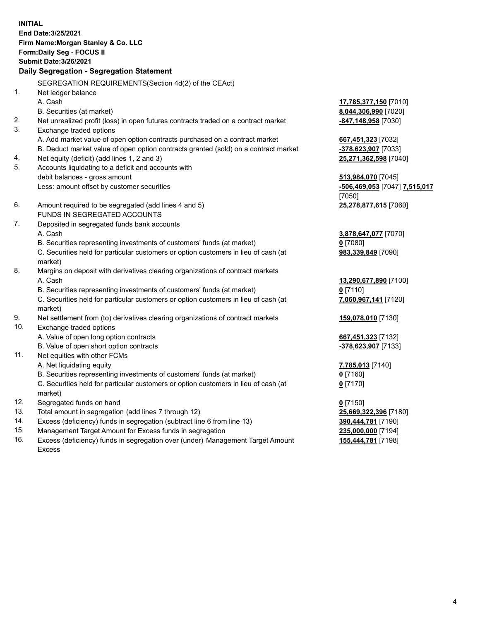**INITIAL End Date:3/25/2021 Firm Name:Morgan Stanley & Co. LLC Form:Daily Seg - FOCUS II Submit Date:3/26/2021 Daily Segregation - Segregation Statement** SEGREGATION REQUIREMENTS(Section 4d(2) of the CEAct) 1. Net ledger balance A. Cash **17,785,377,150** [7010] B. Securities (at market) **8,044,306,990** [7020] 2. Net unrealized profit (loss) in open futures contracts traded on a contract market **-847,148,958** [7030] 3. Exchange traded options A. Add market value of open option contracts purchased on a contract market **667,451,323** [7032] B. Deduct market value of open option contracts granted (sold) on a contract market **-378,623,907** [7033] 4. Net equity (deficit) (add lines 1, 2 and 3) **25,271,362,598** [7040] 5. Accounts liquidating to a deficit and accounts with debit balances - gross amount **513,984,070** [7045] Less: amount offset by customer securities **-506,469,053** [7047] **7,515,017** [7050] 6. Amount required to be segregated (add lines 4 and 5) **25,278,877,615** [7060] FUNDS IN SEGREGATED ACCOUNTS 7. Deposited in segregated funds bank accounts A. Cash **3,878,647,077** [7070] B. Securities representing investments of customers' funds (at market) **0** [7080] C. Securities held for particular customers or option customers in lieu of cash (at market) **983,339,849** [7090] 8. Margins on deposit with derivatives clearing organizations of contract markets A. Cash **13,290,677,890** [7100] B. Securities representing investments of customers' funds (at market) **0** [7110] C. Securities held for particular customers or option customers in lieu of cash (at market) **7,060,967,141** [7120] 9. Net settlement from (to) derivatives clearing organizations of contract markets **159,078,010** [7130] 10. Exchange traded options A. Value of open long option contracts **667,451,323** [7132] B. Value of open short option contracts **and the set of our original contracts -378,623,907** [7133] 11. Net equities with other FCMs A. Net liquidating equity **7,785,013** [7140] B. Securities representing investments of customers' funds (at market) **0** [7160] C. Securities held for particular customers or option customers in lieu of cash (at market) **0** [7170] 12. Segregated funds on hand **0** [7150] 13. Total amount in segregation (add lines 7 through 12) **25,669,322,396** [7180] 14. Excess (deficiency) funds in segregation (subtract line 6 from line 13) **390,444,781** [7190] 15. Management Target Amount for Excess funds in segregation **235,000,000** [7194]

16. Excess (deficiency) funds in segregation over (under) Management Target Amount Excess

**155,444,781** [7198]